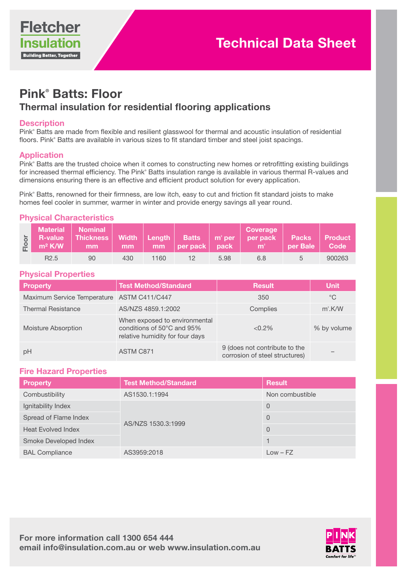

# Pink® Batts: Floor Thermal insulation for residential flooring applications

### **Description**

Pink® Batts are made from flexible and resilient glasswool for thermal and acoustic insulation of residential floors. Pink® Batts are available in various sizes to fit standard timber and steel joist spacings.

# Application

Pink® Batts are the trusted choice when it comes to constructing new homes or retrofitting existing buildings for increased thermal efficiency. The Pink® Batts insulation range is available in various thermal R-values and dimensions ensuring there is an effective and efficient product solution for every application.

Pink® Batts, renowned for their firmness, are low itch, easy to cut and friction fit standard joists to make homes feel cooler in summer, warmer in winter and provide energy savings all year round.

# Physical Characteristics

| $m^2$ K/W        | Material Nominal<br>mm | $mm$ | <b>mm</b> | per pack pack the set |      | <b>Coverage</b><br>b R-value Thickness Width Length Batts m' per per pack Packs Product<br>$\mathbf{m}^2$ | per Bale Code |        |
|------------------|------------------------|------|-----------|-----------------------|------|-----------------------------------------------------------------------------------------------------------|---------------|--------|
| R <sub>2.5</sub> | 90                     | 430  | 1160      |                       | 5.98 | 6.8                                                                                                       |               | 900263 |

# Physical Properties

| <b>Property</b>                            | <b>Test Method/Standard</b>                                                                                 | <b>Result</b>                                                   | <b>Unit</b> |
|--------------------------------------------|-------------------------------------------------------------------------------------------------------------|-----------------------------------------------------------------|-------------|
| Maximum Service Temperature ASTM C411/C447 |                                                                                                             | 350                                                             | $^{\circ}C$ |
| <b>Thermal Resistance</b>                  | AS/NZS 4859.1:2002                                                                                          | Complies                                                        | $m^2$ .K/W  |
| Moisture Absorption                        | When exposed to environmental<br>conditions of $50^{\circ}$ C and $95\%$<br>relative humidity for four days | $< 0.2\%$                                                       | % by volume |
| pH                                         | ASTM C871                                                                                                   | 9 (does not contribute to the<br>corrosion of steel structures) |             |

#### Fire Hazard Properties

| <b>Property</b>           | <b>Test Method/Standard</b> | <b>Result</b>   |
|---------------------------|-----------------------------|-----------------|
| Combustibility            | AS1530.1:1994               | Non combustible |
| Ignitability Index        |                             | $\Omega$        |
| Spread of Flame Index     | AS/NZS 1530.3:1999          | $\Omega$        |
| <b>Heat Evolved Index</b> |                             | $\Omega$        |
| Smoke Developed Index     |                             |                 |
| <b>BAL Compliance</b>     | AS3959:2018                 | $Low - FZ$      |